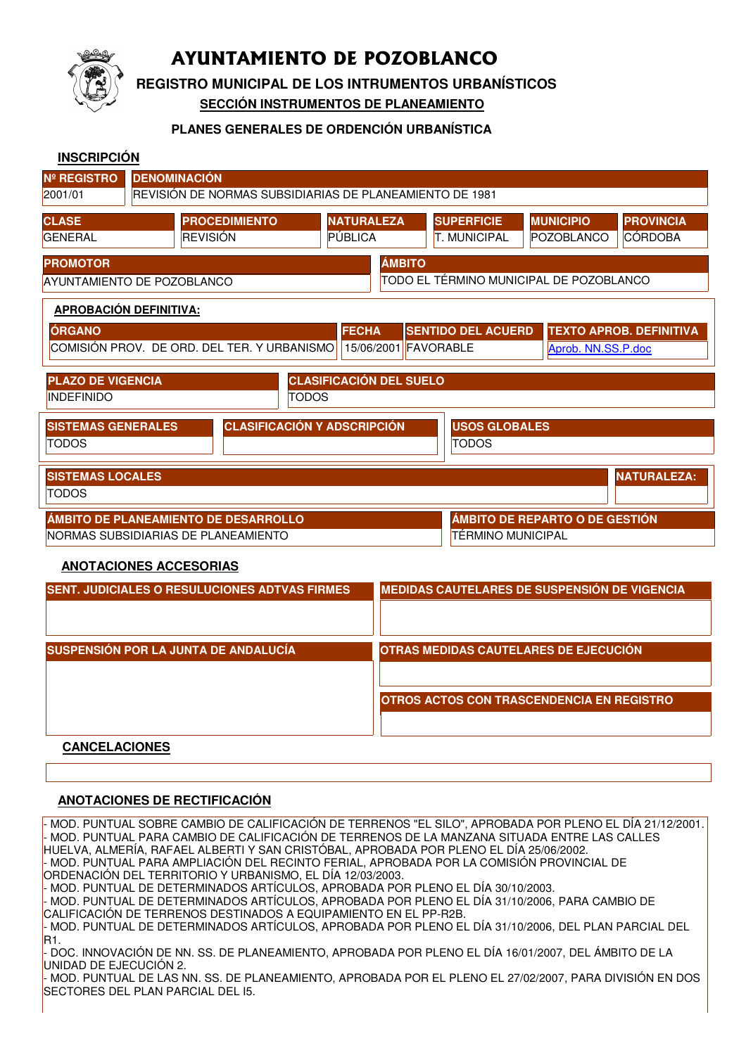

# **AYUNTAMIENTO DE POZOBLANCO**

**REGISTRO MUNICIPAL DE LOS INTRUMENTOS URBANÍSTICOS**

**SECCIÓN INSTRUMENTOS DE PLANEAMIENTO**

#### **PLANES GENERALES DE ORDENCIÓN URBANÍSTICA**

| <b>INSCRIPCIÓN</b>                                                                              |                                                      |                   |                                       |                           |                                                     |                                |  |
|-------------------------------------------------------------------------------------------------|------------------------------------------------------|-------------------|---------------------------------------|---------------------------|-----------------------------------------------------|--------------------------------|--|
| <b>Nº REGISTRO</b>                                                                              | <b>DENOMINACIÓN</b>                                  |                   |                                       |                           |                                                     |                                |  |
| 2001/01<br>REVISIÓN DE NORMAS SUBSIDIARIAS DE PLANEAMIENTO DE 1981                              |                                                      |                   |                                       |                           |                                                     |                                |  |
| <b>CLASE</b>                                                                                    | <b>PROCEDIMIENTO</b>                                 | <b>NATURALEZA</b> |                                       | <b>SUPERFICIE</b>         | <b>MUNICIPIO</b>                                    | <b>PROVINCIA</b>               |  |
| <b>GENERAL</b>                                                                                  | <b>REVISIÓN</b>                                      | PÚBLICA           |                                       | <b>T. MUNICIPAL</b>       | POZOBLANCO                                          | <b>CÓRDOBA</b>                 |  |
| <b>ÁMBITO</b><br><b>PROMOTOR</b>                                                                |                                                      |                   |                                       |                           |                                                     |                                |  |
| AYUNTAMIENTO DE POZOBLANCO                                                                      | TODO EL TÉRMINO MUNICIPAL DE POZOBLANCO              |                   |                                       |                           |                                                     |                                |  |
| <b>APROBACIÓN DEFINITIVA:</b>                                                                   |                                                      |                   |                                       |                           |                                                     |                                |  |
| <b>ÓRGANO</b>                                                                                   |                                                      | <b>FECHA</b>      |                                       | <b>SENTIDO DEL ACUERD</b> |                                                     | <b>TEXTO APROB. DEFINITIVA</b> |  |
| COMISIÓN PROV. DE ORD. DEL TER. Y URBANISMO<br>15/06/2001 FAVORABLE<br>Aprob. NN.SS.P.doc       |                                                      |                   |                                       |                           |                                                     |                                |  |
|                                                                                                 |                                                      |                   |                                       |                           |                                                     |                                |  |
| <b>CLASIFICACIÓN DEL SUELO</b><br><b>PLAZO DE VIGENCIA</b><br><b>INDEFINIDO</b><br><b>TODOS</b> |                                                      |                   |                                       |                           |                                                     |                                |  |
|                                                                                                 |                                                      |                   |                                       |                           |                                                     |                                |  |
| <b>CLASIFICACIÓN Y ADSCRIPCIÓN</b><br><b>SISTEMAS GENERALES</b>                                 |                                                      |                   | <b>USOS GLOBALES</b>                  |                           |                                                     |                                |  |
| <b>TODOS</b>                                                                                    |                                                      |                   |                                       | <b>TODOS</b>              |                                                     |                                |  |
| <b>SISTEMAS LOCALES</b><br><b>NATURALEZA:</b>                                                   |                                                      |                   |                                       |                           |                                                     |                                |  |
| <b>TODOS</b>                                                                                    |                                                      |                   |                                       |                           |                                                     |                                |  |
| ÁMBITO DE PLANEAMIENTO DE DESARROLLO                                                            | ÁMBITO DE REPARTO O DE GESTIÓN                       |                   |                                       |                           |                                                     |                                |  |
| NORMAS SUBSIDIARIAS DE PLANEAMIENTO                                                             |                                                      |                   |                                       | TÉRMINO MUNICIPAL         |                                                     |                                |  |
| <b>ANOTACIONES ACCESORIAS</b>                                                                   |                                                      |                   |                                       |                           |                                                     |                                |  |
|                                                                                                 | <b>SENT. JUDICIALES O RESULUCIONES ADTVAS FIRMES</b> |                   |                                       |                           | <b>MEDIDAS CAUTELARES DE SUSPENSIÓN DE VIGENCIA</b> |                                |  |
|                                                                                                 |                                                      |                   |                                       |                           |                                                     |                                |  |
|                                                                                                 |                                                      |                   |                                       |                           |                                                     |                                |  |
|                                                                                                 | SUSPENSIÓN POR LA JUNTA DE ANDALUCÍA                 |                   |                                       |                           |                                                     |                                |  |
|                                                                                                 |                                                      |                   | OTRAS MEDIDAS CAUTELARES DE EJECUCIÓN |                           |                                                     |                                |  |

**OTROS ACTOS CON TRASCENDENCIA EN REGISTRO**

**CANCELACIONES**

### **ANOTACIONES DE RECTIFICACIÓN**

- MOD. PUNTUAL SOBRE CAMBIO DE CALIFICACIÓN DE TERRENOS "EL SILO", APROBADA POR PLENO EL DÍA 21/12/2001. - MOD. PUNTUAL PARA CAMBIO DE CALIFICACIÓN DE TERRENOS DE LA MANZANA SITUADA ENTRE LAS CALLES HUELVA, ALMERÍA, RAFAEL ALBERTI Y SAN CRISTÓBAL, APROBADA POR PLENO EL DÍA 25/06/2002. - MOD. PUNTUAL PARA AMPLIACIÓN DEL RECINTO FERIAL, APROBADA POR LA COMISIÓN PROVINCIAL DE ORDENACIÓN DEL TERRITORIO Y URBANISMO, EL DÍA 12/03/2003. - MOD. PUNTUAL DE DETERMINADOS ARTÍCULOS, APROBADA POR PLENO EL DÍA 30/10/2003. - MOD. PUNTUAL DE DETERMINADOS ARTÍCULOS, APROBADA POR PLENO EL DÍA 31/10/2006, PARA CAMBIO DE CALIFICACIÓN DE TERRENOS DESTINADOS A EQUIPAMIENTO EN EL PP-R2B. - MOD. PUNTUAL DE DETERMINADOS ARTÍCULOS, APROBADA POR PLENO EL DÍA 31/10/2006, DEL PLAN PARCIAL DEL R1. - DOC. INNOVACIÓN DE NN. SS. DE PLANEAMIENTO, APROBADA POR PLENO EL DÍA 16/01/2007, DEL ÁMBITO DE LA UNIDAD DE EJECUCIÓN 2. - MOD. PUNTUAL DE LAS NN. SS. DE PLANEAMIENTO, APROBADA POR EL PLENO EL 27/02/2007, PARA DIVISIÓN EN DOS SECTORES DEL PLAN PARCIAL DEL I5.